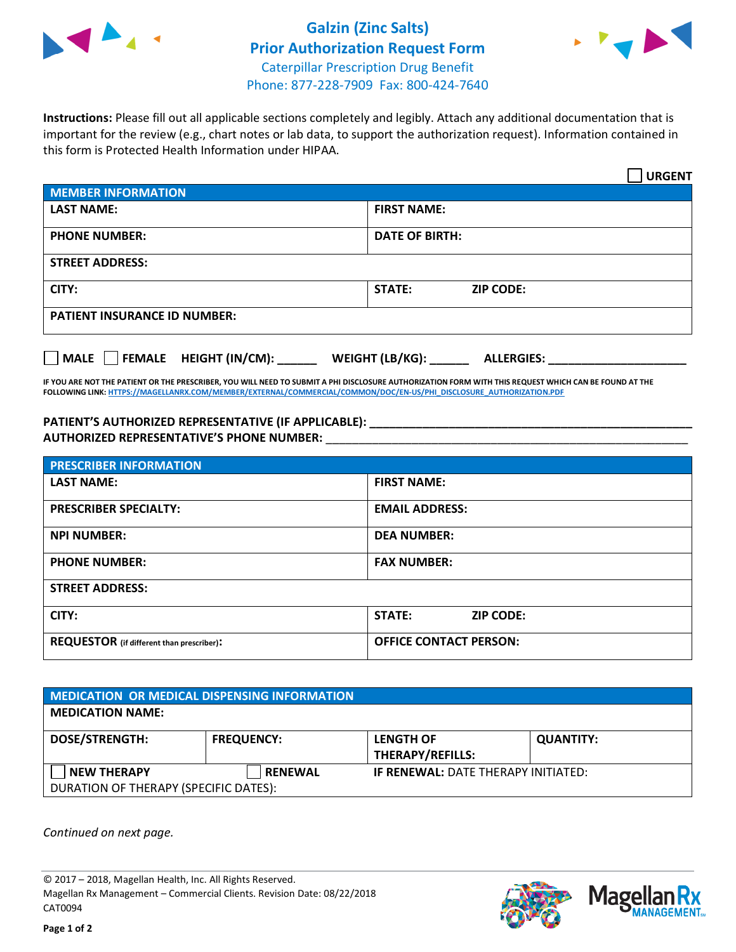

## **Galzin (Zinc Salts) Prior Authorization Request Form** Caterpillar Prescription Drug Benefit Phone: 877-228-7909 Fax: 800-424-7640



**Instructions:** Please fill out all applicable sections completely and legibly. Attach any additional documentation that is important for the review (e.g., chart notes or lab data, to support the authorization request). Information contained in this form is Protected Health Information under HIPAA.

|                                                                               | <b>URGENT</b>                     |  |  |  |
|-------------------------------------------------------------------------------|-----------------------------------|--|--|--|
| <b>MEMBER INFORMATION</b>                                                     |                                   |  |  |  |
| <b>LAST NAME:</b>                                                             | <b>FIRST NAME:</b>                |  |  |  |
| <b>PHONE NUMBER:</b>                                                          | <b>DATE OF BIRTH:</b>             |  |  |  |
| <b>STREET ADDRESS:</b>                                                        |                                   |  |  |  |
| CITY:                                                                         | <b>STATE:</b><br><b>ZIP CODE:</b> |  |  |  |
| <b>PATIENT INSURANCE ID NUMBER:</b>                                           |                                   |  |  |  |
| FEMALE HEIGHT (IN/CM):<br>WEIGHT (LB/KG):<br><b>MALE</b><br><b>ALLERGIES:</b> |                                   |  |  |  |

**IF YOU ARE NOT THE PATIENT OR THE PRESCRIBER, YOU WILL NEED TO SUBMIT A PHI DISCLOSURE AUTHORIZATION FORM WITH THIS REQUEST WHICH CAN BE FOUND AT THE FOLLOWING LINK[: HTTPS://MAGELLANRX.COM/MEMBER/EXTERNAL/COMMERCIAL/COMMON/DOC/EN-US/PHI\\_DISCLOSURE\\_AUTHORIZATION.PDF](https://magellanrx.com/member/external/commercial/common/doc/en-us/PHI_Disclosure_Authorization.pdf)**

**PATIENT'S AUTHORIZED REPRESENTATIVE (IF APPLICABLE): \_\_\_\_\_\_\_\_\_\_\_\_\_\_\_\_\_\_\_\_\_\_\_\_\_\_\_\_\_\_\_\_\_\_\_\_\_\_\_\_\_\_\_\_\_\_\_\_\_ AUTHORIZED REPRESENTATIVE'S PHONE NUMBER:** \_\_\_\_\_\_\_\_\_\_\_\_\_\_\_\_\_\_\_\_\_\_\_\_\_\_\_\_\_\_\_\_\_\_\_\_\_\_\_\_\_\_\_\_\_\_\_\_\_\_\_\_\_\_\_

| <b>PRESCRIBER INFORMATION</b>             |                                   |  |  |  |
|-------------------------------------------|-----------------------------------|--|--|--|
| <b>LAST NAME:</b>                         | <b>FIRST NAME:</b>                |  |  |  |
| <b>PRESCRIBER SPECIALTY:</b>              | <b>EMAIL ADDRESS:</b>             |  |  |  |
| <b>NPI NUMBER:</b>                        | <b>DEA NUMBER:</b>                |  |  |  |
| <b>PHONE NUMBER:</b>                      | <b>FAX NUMBER:</b>                |  |  |  |
| <b>STREET ADDRESS:</b>                    |                                   |  |  |  |
| CITY:                                     | <b>STATE:</b><br><b>ZIP CODE:</b> |  |  |  |
| REQUESTOR (if different than prescriber): | <b>OFFICE CONTACT PERSON:</b>     |  |  |  |

| <b>MEDICATION OR MEDICAL DISPENSING INFORMATION</b> |                   |                                            |                  |  |  |
|-----------------------------------------------------|-------------------|--------------------------------------------|------------------|--|--|
| <b>MEDICATION NAME:</b>                             |                   |                                            |                  |  |  |
| <b>DOSE/STRENGTH:</b>                               | <b>FREQUENCY:</b> | <b>LENGTH OF</b>                           | <b>QUANTITY:</b> |  |  |
|                                                     |                   | <b>THERAPY/REFILLS:</b>                    |                  |  |  |
| <b>NEW THERAPY</b>                                  | <b>RENEWAL</b>    | <b>IF RENEWAL: DATE THERAPY INITIATED:</b> |                  |  |  |
| DURATION OF THERAPY (SPECIFIC DATES):               |                   |                                            |                  |  |  |

*Continued on next page.*

© 2017 – 2018, Magellan Health, Inc. All Rights Reserved. Magellan Rx Management – Commercial Clients. Revision Date: 08/22/2018 CAT0094